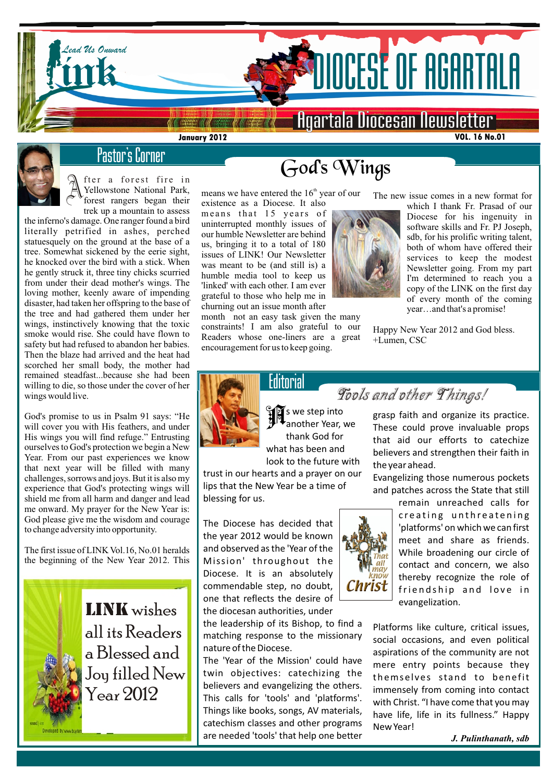



# Pastor's Corner

fter a forest fire in Yellowstone National Park, forest rangers began their trek up a mountain to assess

the inferno's damage. One ranger found a bird literally petrified in ashes, perched statuesquely on the ground at the base of a tree. Somewhat sickened by the eerie sight, he knocked over the bird with a stick. When he gently struck it, three tiny chicks scurried from under their dead mother's wings. The loving mother, keenly aware of impending disaster, had taken her offspring to the base of the tree and had gathered them under her wings, instinctively knowing that the toxic smoke would rise. She could have flown to safety but had refused to abandon her babies. Then the blaze had arrived and the heat had scorched her small body, the mother had remained steadfast...because she had been willing to die, so those under the cover of her wings would live.

God's promise to us in Psalm 91 says: "He will cover you with His feathers, and under His wings you will find refuge." Entrusting ourselves to God's protection we begin a New Year. From our past experiences we know that next year will be filled with many challenges, sorrows and joys. But it is also my experience that God's protecting wings will shield me from all harm and danger and lead me onward. My prayer for the New Year is: God please give me the wisdom and courage to change adversity into opportunity.

The first issue of LINK Vol.16, No.01 heralds and<br>the beginning of the New Year 2012. This Mis The first issue of LINK Vol.16, No.01 heralds



LINK wishes all its Readers a Blessed and Joy filled New Year 2012

# *God's Wings*

means we have entered the  $16<sup>th</sup>$  year of our existence as a Diocese. It also

means that 15 years of uninterrupted monthly issues of our humble Newsletter are behind us, bringing it to a total of 180 issues of LINK! Our Newsletter was meant to be (and still is) a humble media tool to keep us 'linked' with each other. I am ever grateful to those who help me in churning out an issue month after

month not an easy task given the many constraints! I am also grateful to our Readers whose one-liners are a great encouragement for us to keep going.

**Editorial** 



The new issue comes in a new format for

which I thank Fr. Prasad of our Diocese for his ingenuity in software skills and Fr. PJ Joseph, sdb, for his prolific writing talent, both of whom have offered their services to keep the modest Newsletter going. From my part I'm determined to reach you a copy of the LINK on the first day of every month of the coming year…and that's a promise!

Happy New Year 2012 and God bless. +Lumen, CSC

Tools and other Things!



 $\frac{1}{2}$   $\frac{1}{2}$  s we step into  $\frac{1}{2}$ thank God for what has been and look to the future with

trust in our hearts and a prayer on our lips that the New Year be a time of blessing for us.

The Diocese has decided that the year 2012 would be known and observed as the 'Year of the Mission' throughout the Diocese. It is an absolutely commendable step, no doubt, one that reflects the desire of the diocesan authorities, under

the leadership of its Bishop, to find a matching response to the missionary nature of the Diocese.

The 'Year of the Mission' could have twin objectives: catechizing the believers and evangelizing the others. This calls for 'tools' and 'platforms'. Things like books, songs, AV materials, catechism classes and other programs are needed 'tools' that help one better



Christ

grasp faith and organize its practice. These could prove invaluable props that aid our efforts to catechize believers and strengthen their faith in the year ahead.

Evangelizing those numerous pockets and patches across the State that still

> remain unreached calls for c reating unthreatening 'platforms' on which we can first meet and share as friends. While broadening our circle of contact and concern, we also thereby recognize the role of friendship and love in evangelization.

Platforms like culture, critical issues, social occasions, and even political aspirations of the community are not mere entry points because they themselves stand to benefit immensely from coming into contact with Christ. "I have come that you may have life, life in its fullness." Happy New Year!

*J. Pulinthanath, sdb*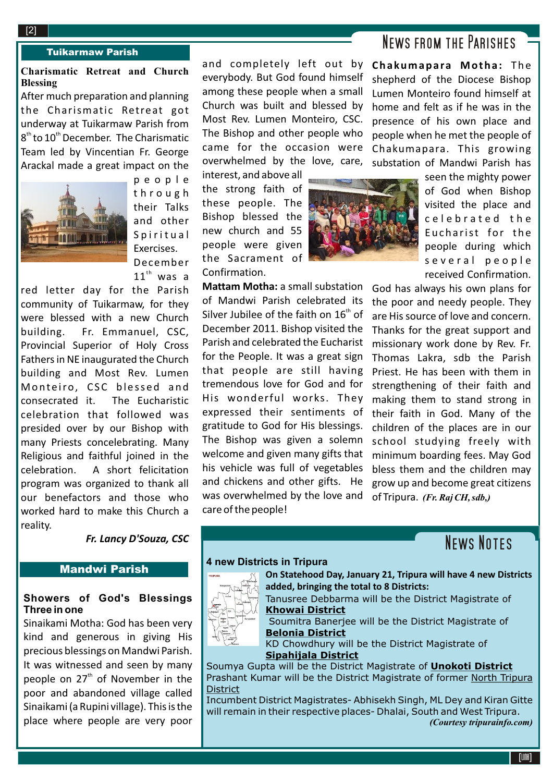#### **2**[2]

#### Tuikarmaw Parish

# **Charismatic Retreat and Church Blessing**

After much preparation and planning the Charismatic Retreat got underway at Tuikarmaw Parish from  $8<sup>th</sup>$  to  $10<sup>th</sup>$  December. The Charismatic Team led by Vincentian Fr. George Arackal made a great impact on the



p e o p l e t h r o u g h their Talks and other Spiritual Exercises. December  $11^{\text{th}}$  was a

red letter day for the Parish community of Tuikarmaw, for they were blessed with a new Church building. Fr. Emmanuel, CSC, Provincial Superior of Holy Cross Fathers in NE inaugurated the Church building and Most Rev. Lumen Monteiro, CSC blessed and consecrated it. The Eucharistic celebration that followed was presided over by our Bishop with many Priests concelebrating. Many Religious and faithful joined in the celebration. A short felicitation program was organized to thank all our benefactors and those who worked hard to make this Church a reality.

*Fr. Lancy D'Souza, CSC*

## Mandwi Parish

## **Showers of God's Blessings Three in one**

Sinaikami Motha: God has been very kind and generous in giving His precious blessings on Mandwi Parish. It was witnessed and seen by many people on  $27<sup>th</sup>$  of November in the poor and abandoned village called Sinaikami (a Rupini village). This is the place where people are very poor

and completely left out by everybody. But God found himself among these people when a small Church was built and blessed by Most Rev. Lumen Monteiro, CSC. The Bishop and other people who came for the occasion were overwhelmed by the love, care,

interest, and above all the strong faith of these people. The Bishop blessed the new church and 55 people were given the Sacrament of Confirmation.

**Mattam Motha:** a small substation of Mandwi Parish celebrated its Silver Jubilee of the faith on  $16<sup>th</sup>$  of December 2011. Bishop visited the Parish and celebrated the Eucharist for the People. It was a great sign that people are still having tremendous love for God and for His wonderful works. They expressed their sentiments of gratitude to God for His blessings. The Bishop was given a solemn welcome and given many gifts that his vehicle was full of vegetables and chickens and other gifts. He was overwhelmed by the love and care of the people!

# News from the Parishes

**Chakumapara Motha:** The shepherd of the Diocese Bishop Lumen Monteiro found himself at home and felt as if he was in the presence of his own place and people when he met the people of Chakumapara. This growing substation of Mandwi Parish has

> seen the mighty power of God when Bishop visited the place and c e l e b r a t e d th e Eucha rist for the people during which s e veral people received Confirmation.

God has always his own plans for the poor and needy people. They are His source of love and concern. Thanks for the great support and missionary work done by Rev. Fr. Thomas Lakra, sdb the Parish Priest. He has been with them in strengthening of their faith and making them to stand strong in their faith in God. Many of the children of the places are in our school studying freely with minimum boarding fees. May God bless them and the children may grow up and become great citizens of Tripura. *(Fr. Raj CH, sdb,)*

# **NEWS NOTES**

### **4 new Districts in Tripura**



**On Statehood Day, January 21, Tripura will have 4 new Districts added, bringing the total to 8 Districts:**

Tanusree Debbarma will be the District Magistrate of **Khowai District**

 Soumitra Banerjee will be the District Magistrate of **Belonia District**

KD Chowdhury will be the District Magistrate of **Sipahijala District**

Soumya Gupta will be the District Magistrate of **Unokoti District** Prashant Kumar will be the District Magistrate of former North Tripura **District** 

Incumbent District Magistrates- Abhisekh Singh, ML Dey and Kiran Gitte will remain in their respective places- Dhalai, South and West Tripura. *(Courtesy tripurainfo.com)*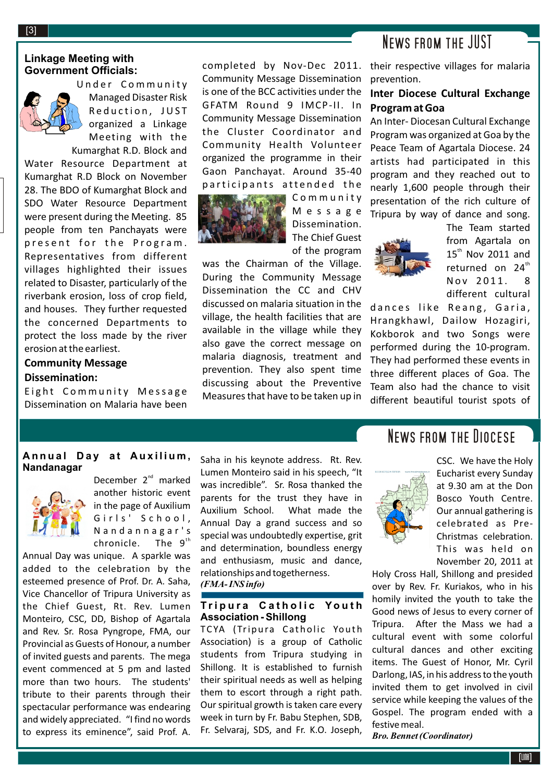## **Linkage Meeting with Government Officials:**



Managed Disaster Risk Under Community Managed Disaster Risk organized a Linkage Meeting with the Kumarghat R.D. Block and

Water Resource Department at Kumarghat R.D Block on November 28. The BDO of Kumarghat Block and SDO Water Resource Department were present during the Meeting. 85 people from ten Panchayats were present for the Program. Representatives from different villages highlighted their issues related to Disaster, particularly of the riverbank erosion, loss of crop field, and houses. They further requested the concerned Departments to protect the loss made by the river erosion at the earliest.

# **Community Message Dissemination:**

Eight Community Message Dissemination on Malaria have been completed by Nov-Dec 2011. Community Message Dissemination is one of the BCC activities under the GFATM Round 9 IMCP-II. In Community Message Dissemination the Cluster Coordinator and Community Health Volunteer organized the programme in their Gaon Panchayat. Around 35-40 participants attended the



C o m m u n i t y M e s s a g e Dissemination. The Chief Guest of the program

was the Chairman of the Village. During the Community Message Dissemination the CC and CHV discussed on malaria situation in the village, the health facilities that are available in the village while they also gave the correct message on malaria diagnosis, treatment and prevention. They also spent time discussing about the Preventive Measures that have to be taken up in

# News from the JUST

their respective villages for malaria prevention.

# **Inter Diocese Cultural Exchange Program at Goa**

An Inter- Diocesan Cultural Exchange Program was organized at Goa by the Peace Team of Agartala Diocese. 24 artists had participated in this program and they reached out to nearly 1,600 people through their presentation of the rich culture of Tripura by way of dance and song.



The Team started from Agartala on  $15<sup>th</sup>$  Nov 2011 and returned on 24<sup>th</sup> Nov 2011. 8 different cultural

dances like Reang, Garia, Hrangkhawl, Dailow Hozagiri, Kokborok and two Songs were performed during the 10-program. They had performed these events in three different places of Goa. The Team also had the chance to visit different beautiful tourist spots of

# **A n n u a l D a y a t A u x i l i u m , Nandanagar**



December  $2<sup>nd</sup>$  marked another historic event in the page of Auxilium Girls' School, N a n d a n n a g a r ' s The  $9<sup>th</sup>$ chronicle.

Annual Day was unique. A sparkle was added to the celebration by the esteemed presence of Prof. Dr. A. Saha, Vice Chancellor of Tripura University as the Chief Guest, Rt. Rev. Lumen Monteiro, CSC, DD, Bishop of Agartala and Rev. Sr. Rosa Pyngrope, FMA, our Provincial as Guests of Honour, a number of invited guests and parents. The mega event commenced at 5 pm and lasted more than two hours. The students' tribute to their parents through their spectacular performance was endearing and widely appreciated. "I find no words to express its eminence", said Prof. A.

Saha in his keynote address. Rt. Rev. Lumen Monteiro said in his speech, "It was incredible". Sr. Rosa thanked the parents for the trust they have in Auxilium School. What made the Annual Day a grand success and so special was undoubtedly expertise, grit and determination, boundless energy and enthusiasm, music and dance, relationships and togetherness. *(FMA- INS info)*

### **T r i p u r a C a t h o l i c Yo u t h Association - Shillong**

TCYA (Tripura Catholic Youth Association) is a group of Catholic students from Tripura studying in Shillong. It is established to furnish their spiritual needs as well as helping them to escort through a right path. Our spiritual growth is taken care every week in turn by Fr. Babu Stephen, SDB, Fr. Selvaraj, SDS, and Fr. K.O. Joseph,

# News from the Diocese



CSC. We have the Holy Eucharist every Sunday at 9.30 am at the Don Bosco Youth Centre. Our annual gathering is celebrated as Pre-Christmas celebration. This was held on November 20, 2011 at

Holy Cross Hall, Shillong and presided over by Rev. Fr. Kuriakos, who in his homily invited the youth to take the Good news of Jesus to every corner of Tripura. After the Mass we had a cultural event with some colorful cultural dances and other exciting items. The Guest of Honor, Mr. Cyril Darlong, IAS, in his address to the youth invited them to get involved in civil service while keeping the values of the Gospel. The program ended with a festive meal.

*Bro. Bennet (Coordinator)*

[3]